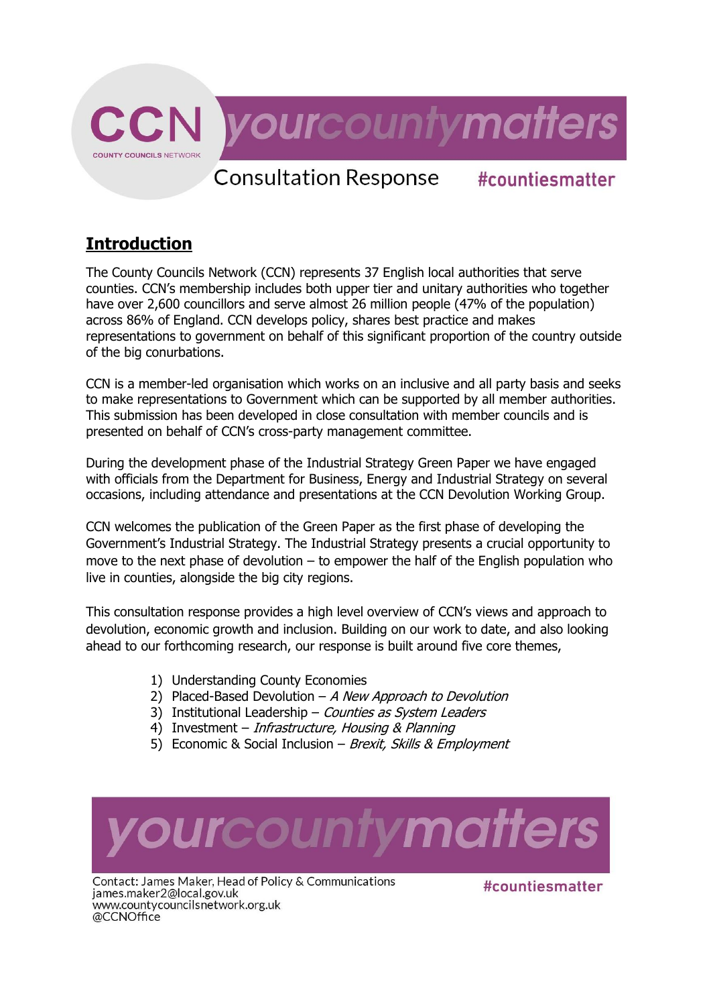

## **Introduction**

The County Councils Network (CCN) represents 37 English local authorities that serve counties. CCN's membership includes both upper tier and unitary authorities who together have over 2,600 councillors and serve almost 26 million people (47% of the population) across 86% of England. CCN develops policy, shares best practice and makes representations to government on behalf of this significant proportion of the country outside of the big conurbations.

CCN is a member-led organisation which works on an inclusive and all party basis and seeks to make representations to Government which can be supported by all member authorities. This submission has been developed in close consultation with member councils and is presented on behalf of CCN's cross-party management committee.

During the development phase of the Industrial Strategy Green Paper we have engaged with officials from the Department for Business, Energy and Industrial Strategy on several occasions, including attendance and presentations at the CCN Devolution Working Group.

CCN welcomes the publication of the Green Paper as the first phase of developing the Government's Industrial Strategy. The Industrial Strategy presents a crucial opportunity to move to the next phase of devolution  $-$  to empower the half of the English population who live in counties, alongside the big city regions.

This consultation response provides a high level overview of CCN's views and approach to devolution, economic growth and inclusion. Building on our work to date, and also looking ahead to our forthcoming research, our response is built around five core themes,

- 1) Understanding County Economies
- 2) Placed-Based Devolution  $-A$  New Approach to Devolution
- 3) Institutional Leadership Counties as System Leaders
- 4) Investment *Infrastructure, Housing & Planning*
- 5) Economic & Social Inclusion Brexit, Skills & Employment



Contact: James Maker, Head of Policy & Communications james.maker2@local.gov.uk www.countycouncilsnetwork.org.uk @CCNOffice

#countiesmatter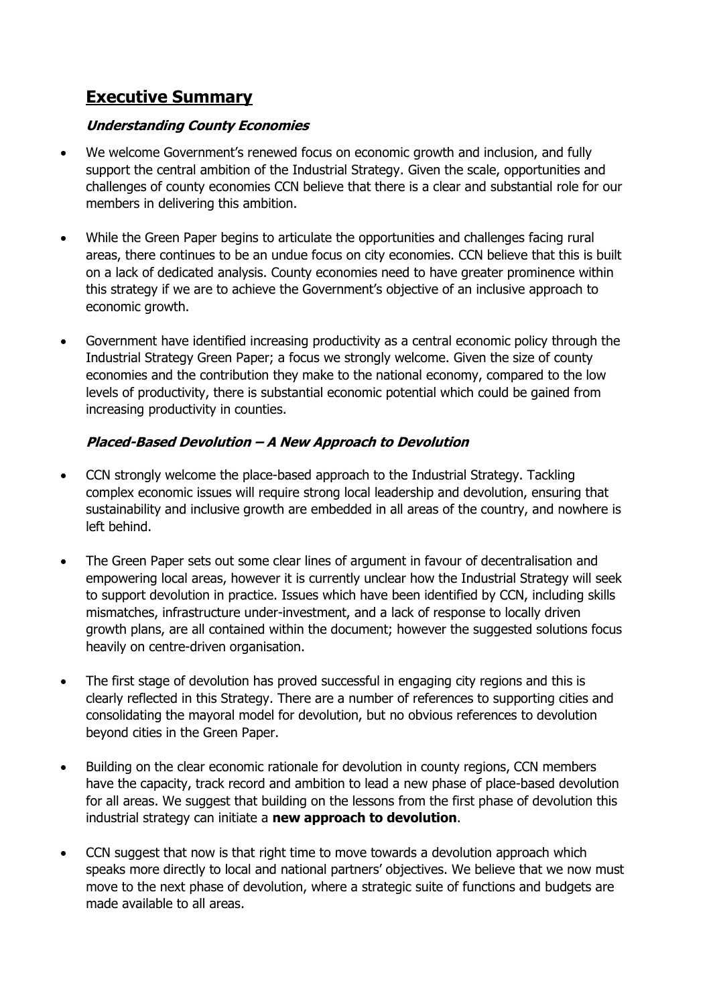## **Executive Summary**

### **Understanding County Economies**

- We welcome Government's renewed focus on economic growth and inclusion, and fully support the central ambition of the Industrial Strategy. Given the scale, opportunities and challenges of county economies CCN believe that there is a clear and substantial role for our members in delivering this ambition.
- While the Green Paper begins to articulate the opportunities and challenges facing rural areas, there continues to be an undue focus on city economies. CCN believe that this is built on a lack of dedicated analysis. County economies need to have greater prominence within this strategy if we are to achieve the Government's objective of an inclusive approach to economic growth.
- Government have identified increasing productivity as a central economic policy through the Industrial Strategy Green Paper; a focus we strongly welcome. Given the size of county economies and the contribution they make to the national economy, compared to the low levels of productivity, there is substantial economic potential which could be gained from increasing productivity in counties.

## **Placed-Based Devolution – A New Approach to Devolution**

- CCN strongly welcome the place-based approach to the Industrial Strategy. Tackling complex economic issues will require strong local leadership and devolution, ensuring that sustainability and inclusive growth are embedded in all areas of the country, and nowhere is left behind.
- The Green Paper sets out some clear lines of argument in favour of decentralisation and empowering local areas, however it is currently unclear how the Industrial Strategy will seek to support devolution in practice. Issues which have been identified by CCN, including skills mismatches, infrastructure under-investment, and a lack of response to locally driven growth plans, are all contained within the document; however the suggested solutions focus heavily on centre-driven organisation.
- The first stage of devolution has proved successful in engaging city regions and this is clearly reflected in this Strategy. There are a number of references to supporting cities and consolidating the mayoral model for devolution, but no obvious references to devolution beyond cities in the Green Paper.
- Building on the clear economic rationale for devolution in county regions, CCN members have the capacity, track record and ambition to lead a new phase of place-based devolution for all areas. We suggest that building on the lessons from the first phase of devolution this industrial strategy can initiate a **new approach to devolution**.
- CCN suggest that now is that right time to move towards a devolution approach which speaks more directly to local and national partners' objectives. We believe that we now must move to the next phase of devolution, where a strategic suite of functions and budgets are made available to all areas.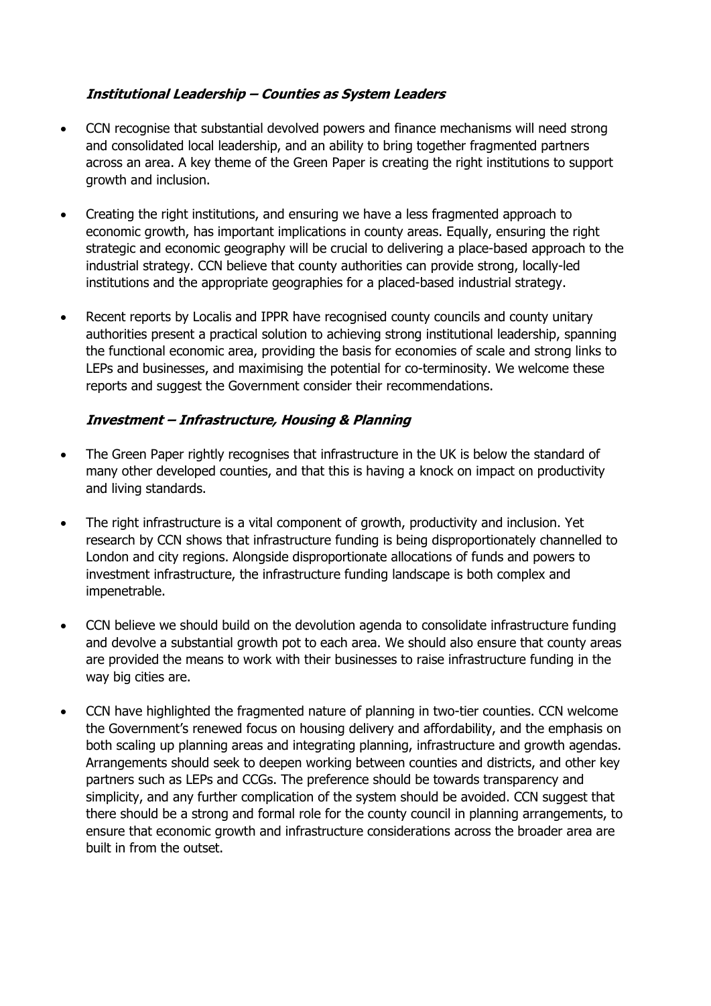## **Institutional Leadership – Counties as System Leaders**

- CCN recognise that substantial devolved powers and finance mechanisms will need strong and consolidated local leadership, and an ability to bring together fragmented partners across an area. A key theme of the Green Paper is creating the right institutions to support growth and inclusion.
- Creating the right institutions, and ensuring we have a less fragmented approach to economic growth, has important implications in county areas. Equally, ensuring the right strategic and economic geography will be crucial to delivering a place-based approach to the industrial strategy. CCN believe that county authorities can provide strong, locally-led institutions and the appropriate geographies for a placed-based industrial strategy.
- Recent reports by Localis and IPPR have recognised county councils and county unitary authorities present a practical solution to achieving strong institutional leadership, spanning the functional economic area, providing the basis for economies of scale and strong links to LEPs and businesses, and maximising the potential for co-terminosity. We welcome these reports and suggest the Government consider their recommendations.

#### **Investment – Infrastructure, Housing & Planning**

- The Green Paper rightly recognises that infrastructure in the UK is below the standard of many other developed counties, and that this is having a knock on impact on productivity and living standards.
- The right infrastructure is a vital component of growth, productivity and inclusion. Yet research by CCN shows that infrastructure funding is being disproportionately channelled to London and city regions. Alongside disproportionate allocations of funds and powers to investment infrastructure, the infrastructure funding landscape is both complex and impenetrable.
- CCN believe we should build on the devolution agenda to consolidate infrastructure funding and devolve a substantial growth pot to each area. We should also ensure that county areas are provided the means to work with their businesses to raise infrastructure funding in the way big cities are.
- CCN have highlighted the fragmented nature of planning in two-tier counties. CCN welcome the Government's renewed focus on housing delivery and affordability, and the emphasis on both scaling up planning areas and integrating planning, infrastructure and growth agendas. Arrangements should seek to deepen working between counties and districts, and other key partners such as LEPs and CCGs. The preference should be towards transparency and simplicity, and any further complication of the system should be avoided. CCN suggest that there should be a strong and formal role for the county council in planning arrangements, to ensure that economic growth and infrastructure considerations across the broader area are built in from the outset.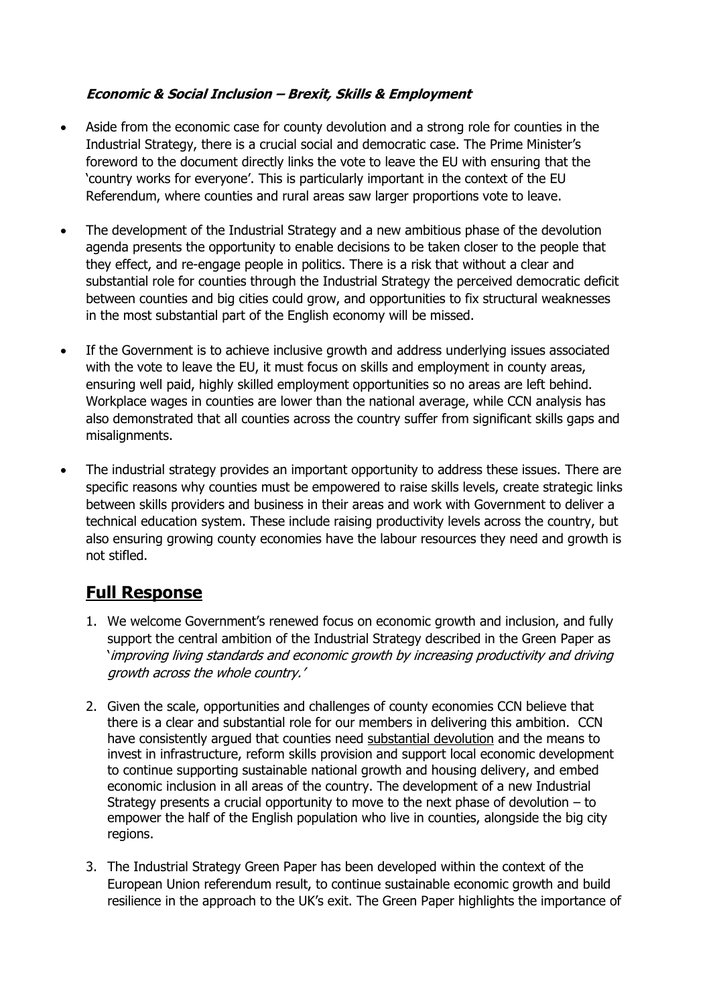## **Economic & Social Inclusion – Brexit, Skills & Employment**

- Aside from the economic case for county devolution and a strong role for counties in the Industrial Strategy, there is a crucial social and democratic case. The Prime Minister's foreword to the document directly links the vote to leave the EU with ensuring that the 'country works for everyone'. This is particularly important in the context of the EU Referendum, where counties and rural areas saw larger proportions vote to leave.
- The development of the Industrial Strategy and a new ambitious phase of the devolution agenda presents the opportunity to enable decisions to be taken closer to the people that they effect, and re-engage people in politics. There is a risk that without a clear and substantial role for counties through the Industrial Strategy the perceived democratic deficit between counties and big cities could grow, and opportunities to fix structural weaknesses in the most substantial part of the English economy will be missed.
- If the Government is to achieve inclusive growth and address underlying issues associated with the vote to leave the EU, it must focus on skills and employment in county areas, ensuring well paid, highly skilled employment opportunities so no areas are left behind. Workplace wages in counties are lower than the national average, while CCN analysis has also demonstrated that all counties across the country suffer from significant skills gaps and misalignments.
- The industrial strategy provides an important opportunity to address these issues. There are specific reasons why counties must be empowered to raise skills levels, create strategic links between skills providers and business in their areas and work with Government to deliver a technical education system. These include raising productivity levels across the country, but also ensuring growing county economies have the labour resources they need and growth is not stifled.

# **Full Response**

- 1. We welcome Government's renewed focus on economic growth and inclusion, and fully support the central ambition of the Industrial Strategy described in the Green Paper as 'improving living standards and economic growth by increasing productivity and driving growth across the whole country.'
- 2. Given the scale, opportunities and challenges of county economies CCN believe that there is a clear and substantial role for our members in delivering this ambition. CCN have consistently argued that counties need substantial devolution and the means to invest in infrastructure, reform skills provision and support local economic development to continue supporting sustainable national growth and housing delivery, and embed economic inclusion in all areas of the country. The development of a new Industrial Strategy presents a crucial opportunity to move to the next phase of devolution – to empower the half of the English population who live in counties, alongside the big city regions.
- 3. The Industrial Strategy Green Paper has been developed within the context of the European Union referendum result, to continue sustainable economic growth and build resilience in the approach to the UK's exit. The Green Paper highlights the importance of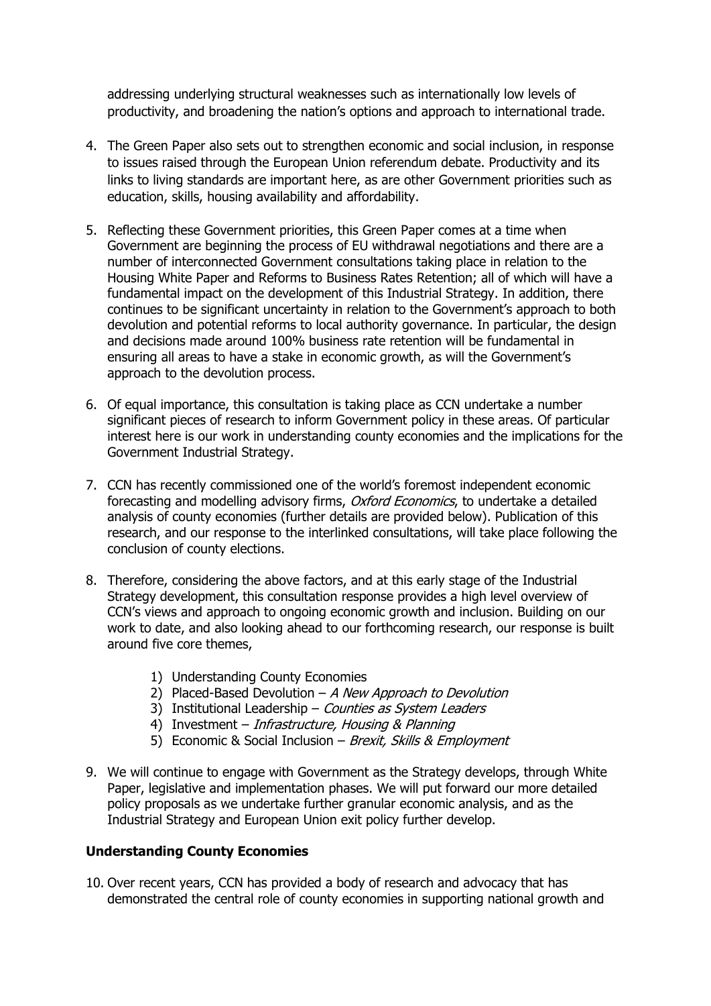addressing underlying structural weaknesses such as internationally low levels of productivity, and broadening the nation's options and approach to international trade.

- 4. The Green Paper also sets out to strengthen economic and social inclusion, in response to issues raised through the European Union referendum debate. Productivity and its links to living standards are important here, as are other Government priorities such as education, skills, housing availability and affordability.
- 5. Reflecting these Government priorities, this Green Paper comes at a time when Government are beginning the process of EU withdrawal negotiations and there are a number of interconnected Government consultations taking place in relation to the Housing White Paper and Reforms to Business Rates Retention; all of which will have a fundamental impact on the development of this Industrial Strategy. In addition, there continues to be significant uncertainty in relation to the Government's approach to both devolution and potential reforms to local authority governance. In particular, the design and decisions made around 100% business rate retention will be fundamental in ensuring all areas to have a stake in economic growth, as will the Government's approach to the devolution process.
- 6. Of equal importance, this consultation is taking place as CCN undertake a number significant pieces of research to inform Government policy in these areas. Of particular interest here is our work in understanding county economies and the implications for the Government Industrial Strategy.
- 7. CCN has recently commissioned one of the world's foremost independent economic forecasting and modelling advisory firms, Oxford Economics, to undertake a detailed analysis of county economies (further details are provided below). Publication of this research, and our response to the interlinked consultations, will take place following the conclusion of county elections.
- 8. Therefore, considering the above factors, and at this early stage of the Industrial Strategy development, this consultation response provides a high level overview of CCN's views and approach to ongoing economic growth and inclusion. Building on our work to date, and also looking ahead to our forthcoming research, our response is built around five core themes,
	- 1) Understanding County Economies
	- 2) Placed-Based Devolution  $-A$  New Approach to Devolution
	- 3) Institutional Leadership Counties as System Leaders
	- 4) Investment Infrastructure, Housing & Planning
	- 5) Economic & Social Inclusion Brexit, Skills & Employment
- 9. We will continue to engage with Government as the Strategy develops, through White Paper, legislative and implementation phases. We will put forward our more detailed policy proposals as we undertake further granular economic analysis, and as the Industrial Strategy and European Union exit policy further develop.

#### **Understanding County Economies**

10. Over recent years, CCN has provided a body of research and advocacy that has demonstrated the central role of county economies in supporting national growth and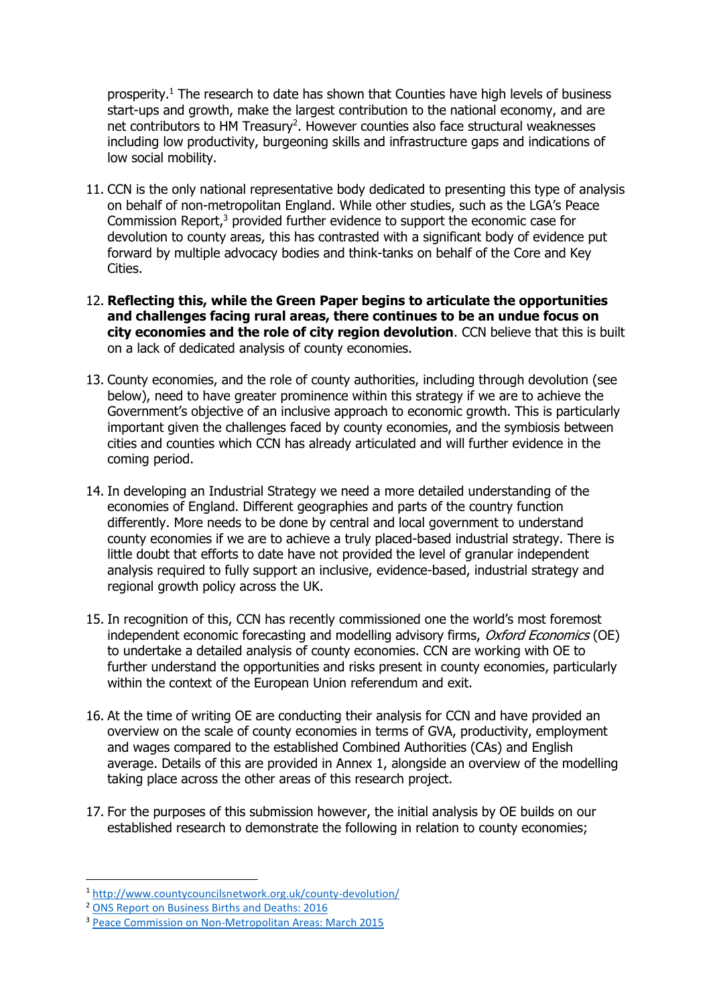prosperity.<sup>1</sup> The research to date has shown that Counties have high levels of business start-ups and growth, make the largest contribution to the national economy, and are net contributors to HM Treasury<sup>2</sup>. However counties also face structural weaknesses including low productivity, burgeoning skills and infrastructure gaps and indications of low social mobility.

- 11. CCN is the only national representative body dedicated to presenting this type of analysis on behalf of non-metropolitan England. While other studies, such as the LGA's Peace Commission Report, $3$  provided further evidence to support the economic case for devolution to county areas, this has contrasted with a significant body of evidence put forward by multiple advocacy bodies and think-tanks on behalf of the Core and Key Cities.
- 12. **Reflecting this, while the Green Paper begins to articulate the opportunities and challenges facing rural areas, there continues to be an undue focus on city economies and the role of city region devolution**. CCN believe that this is built on a lack of dedicated analysis of county economies.
- 13. County economies, and the role of county authorities, including through devolution (see below), need to have greater prominence within this strategy if we are to achieve the Government's objective of an inclusive approach to economic growth. This is particularly important given the challenges faced by county economies, and the symbiosis between cities and counties which CCN has already articulated and will further evidence in the coming period.
- 14. In developing an Industrial Strategy we need a more detailed understanding of the economies of England. Different geographies and parts of the country function differently. More needs to be done by central and local government to understand county economies if we are to achieve a truly placed-based industrial strategy. There is little doubt that efforts to date have not provided the level of granular independent analysis required to fully support an inclusive, evidence-based, industrial strategy and regional growth policy across the UK.
- 15. In recognition of this, CCN has recently commissioned one the world's most foremost independent economic forecasting and modelling advisory firms, *Oxford Economics* (OE) to undertake a detailed analysis of county economies. CCN are working with OE to further understand the opportunities and risks present in county economies, particularly within the context of the European Union referendum and exit.
- 16. At the time of writing OE are conducting their analysis for CCN and have provided an overview on the scale of county economies in terms of GVA, productivity, employment and wages compared to the established Combined Authorities (CAs) and English average. Details of this are provided in Annex 1, alongside an overview of the modelling taking place across the other areas of this research project.
- 17. For the purposes of this submission however, the initial analysis by OE builds on our established research to demonstrate the following in relation to county economies;

 $\overline{a}$ 

<sup>1</sup> <http://www.countycouncilsnetwork.org.uk/county-devolution/>

<sup>2</sup> [ONS Report on Business Births and Deaths: 2016](https://www.ons.gov.uk/businessindustryandtrade/changestobusiness/businessbirthsdeathsandsurvivalrates)

<sup>&</sup>lt;sup>3</sup> [Peace Commission on Non-Metropolitan Areas: March 2015](http://www.local.gov.uk/sites/default/files/documents/devolution-non-metropolit-4cf.pdf)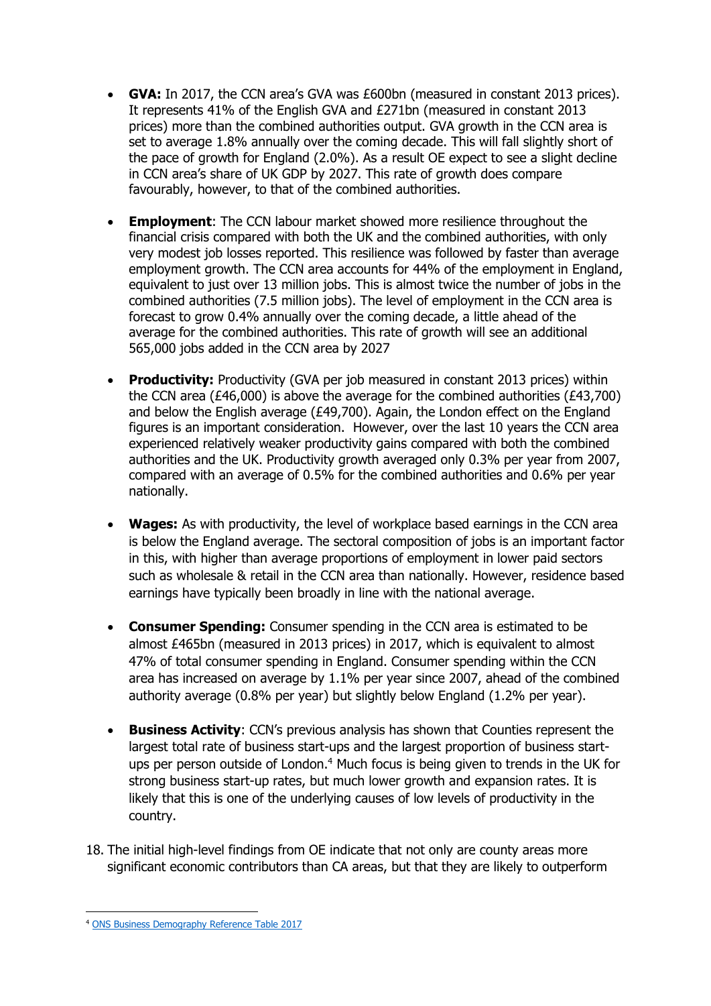- **GVA:** In 2017, the CCN area's GVA was £600bn (measured in constant 2013 prices). It represents 41% of the English GVA and £271bn (measured in constant 2013 prices) more than the combined authorities output. GVA growth in the CCN area is set to average 1.8% annually over the coming decade. This will fall slightly short of the pace of growth for England (2.0%). As a result OE expect to see a slight decline in CCN area's share of UK GDP by 2027. This rate of growth does compare favourably, however, to that of the combined authorities.
- **Employment**: The CCN labour market showed more resilience throughout the financial crisis compared with both the UK and the combined authorities, with only very modest job losses reported. This resilience was followed by faster than average employment growth. The CCN area accounts for 44% of the employment in England, equivalent to just over 13 million jobs. This is almost twice the number of jobs in the combined authorities (7.5 million jobs). The level of employment in the CCN area is forecast to grow 0.4% annually over the coming decade, a little ahead of the average for the combined authorities. This rate of growth will see an additional 565,000 jobs added in the CCN area by 2027
- **Productivity:** Productivity (GVA per job measured in constant 2013 prices) within the CCN area (£46,000) is above the average for the combined authorities ( $£43,700$ ) and below the English average (£49,700). Again, the London effect on the England figures is an important consideration. However, over the last 10 years the CCN area experienced relatively weaker productivity gains compared with both the combined authorities and the UK. Productivity growth averaged only 0.3% per year from 2007, compared with an average of 0.5% for the combined authorities and 0.6% per year nationally.
- **Wages:** As with productivity, the level of workplace based earnings in the CCN area is below the England average. The sectoral composition of jobs is an important factor in this, with higher than average proportions of employment in lower paid sectors such as wholesale & retail in the CCN area than nationally. However, residence based earnings have typically been broadly in line with the national average.
- **Consumer Spending:** Consumer spending in the CCN area is estimated to be almost £465bn (measured in 2013 prices) in 2017, which is equivalent to almost 47% of total consumer spending in England. Consumer spending within the CCN area has increased on average by 1.1% per year since 2007, ahead of the combined authority average (0.8% per year) but slightly below England (1.2% per year).
- **Business Activity**: CCN's previous analysis has shown that Counties represent the largest total rate of business start-ups and the largest proportion of business startups per person outside of London.<sup>4</sup> Much focus is being given to trends in the UK for strong business start-up rates, but much lower growth and expansion rates. It is likely that this is one of the underlying causes of low levels of productivity in the country.
- 18. The initial high-level findings from OE indicate that not only are county areas more significant economic contributors than CA areas, but that they are likely to outperform

 $\overline{a}$ 

<sup>4</sup> [ONS Business Demography Reference Table 2017](https://www.ons.gov.uk/businessindustryandtrade/business/activitysizeandlocation/datasets/businessdemographyreferencetable)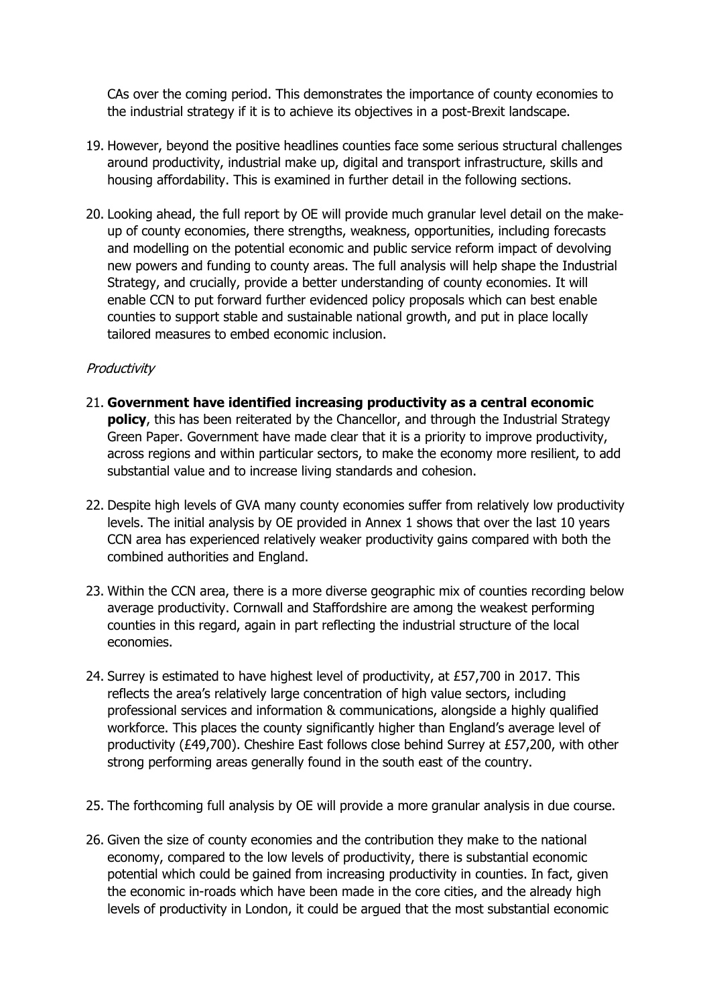CAs over the coming period. This demonstrates the importance of county economies to the industrial strategy if it is to achieve its objectives in a post-Brexit landscape.

- 19. However, beyond the positive headlines counties face some serious structural challenges around productivity, industrial make up, digital and transport infrastructure, skills and housing affordability. This is examined in further detail in the following sections.
- 20. Looking ahead, the full report by OE will provide much granular level detail on the makeup of county economies, there strengths, weakness, opportunities, including forecasts and modelling on the potential economic and public service reform impact of devolving new powers and funding to county areas. The full analysis will help shape the Industrial Strategy, and crucially, provide a better understanding of county economies. It will enable CCN to put forward further evidenced policy proposals which can best enable counties to support stable and sustainable national growth, and put in place locally tailored measures to embed economic inclusion.

#### **Productivity**

- 21. **Government have identified increasing productivity as a central economic policy**, this has been reiterated by the Chancellor, and through the Industrial Strategy Green Paper. Government have made clear that it is a priority to improve productivity, across regions and within particular sectors, to make the economy more resilient, to add substantial value and to increase living standards and cohesion.
- 22. Despite high levels of GVA many county economies suffer from relatively low productivity levels. The initial analysis by OE provided in Annex 1 shows that over the last 10 years CCN area has experienced relatively weaker productivity gains compared with both the combined authorities and England.
- 23. Within the CCN area, there is a more diverse geographic mix of counties recording below average productivity. Cornwall and Staffordshire are among the weakest performing counties in this regard, again in part reflecting the industrial structure of the local economies.
- 24. Surrey is estimated to have highest level of productivity, at £57,700 in 2017. This reflects the area's relatively large concentration of high value sectors, including professional services and information & communications, alongside a highly qualified workforce. This places the county significantly higher than England's average level of productivity (£49,700). Cheshire East follows close behind Surrey at £57,200, with other strong performing areas generally found in the south east of the country.
- 25. The forthcoming full analysis by OE will provide a more granular analysis in due course.
- 26. Given the size of county economies and the contribution they make to the national economy, compared to the low levels of productivity, there is substantial economic potential which could be gained from increasing productivity in counties. In fact, given the economic in-roads which have been made in the core cities, and the already high levels of productivity in London, it could be argued that the most substantial economic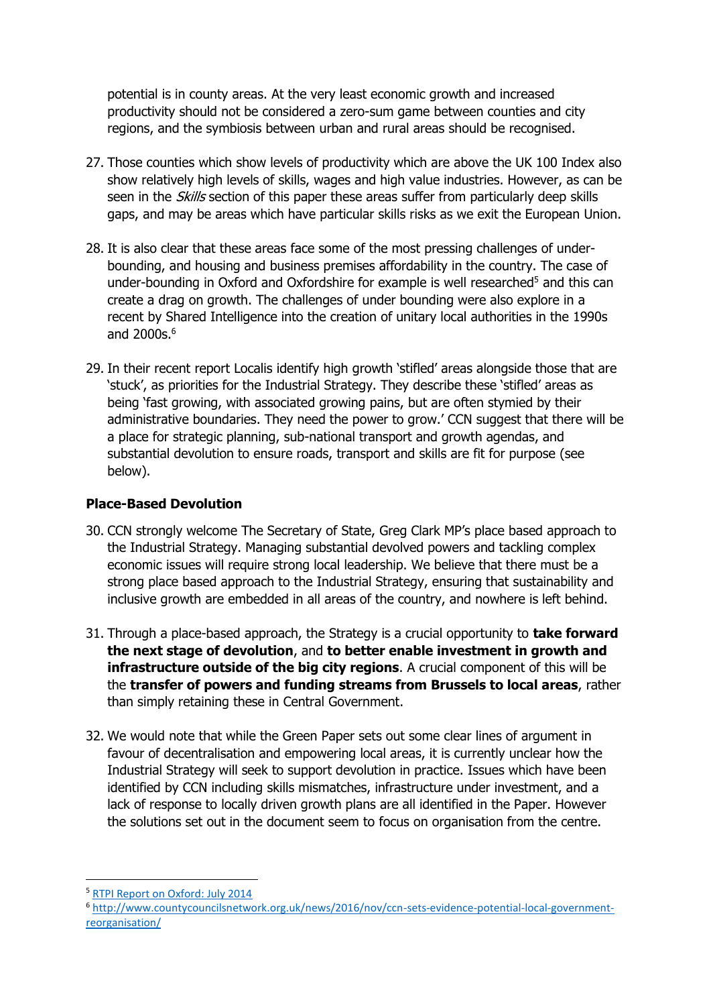potential is in county areas. At the very least economic growth and increased productivity should not be considered a zero-sum game between counties and city regions, and the symbiosis between urban and rural areas should be recognised.

- 27. Those counties which show levels of productivity which are above the UK 100 Index also show relatively high levels of skills, wages and high value industries. However, as can be seen in the *Skills* section of this paper these areas suffer from particularly deep skills gaps, and may be areas which have particular skills risks as we exit the European Union.
- 28. It is also clear that these areas face some of the most pressing challenges of underbounding, and housing and business premises affordability in the country. The case of under-bounding in Oxford and Oxfordshire for example is well researched<sup>5</sup> and this can create a drag on growth. The challenges of under bounding were also explore in a recent by Shared Intelligence into the creation of unitary local authorities in the 1990s and 2000s.<sup>6</sup>
- 29. In their recent report Localis identify high growth 'stifled' areas alongside those that are 'stuck', as priorities for the Industrial Strategy. They describe these 'stifled' areas as being 'fast growing, with associated growing pains, but are often stymied by their administrative boundaries. They need the power to grow.' CCN suggest that there will be a place for strategic planning, sub-national transport and growth agendas, and substantial devolution to ensure roads, transport and skills are fit for purpose (see below).

#### **Place-Based Devolution**

- 30. CCN strongly welcome The Secretary of State, Greg Clark MP's place based approach to the Industrial Strategy. Managing substantial devolved powers and tackling complex economic issues will require strong local leadership. We believe that there must be a strong place based approach to the Industrial Strategy, ensuring that sustainability and inclusive growth are embedded in all areas of the country, and nowhere is left behind.
- 31. Through a place-based approach, the Strategy is a crucial opportunity to **take forward the next stage of devolution**, and **to better enable investment in growth and infrastructure outside of the big city regions**. A crucial component of this will be the **transfer of powers and funding streams from Brussels to local areas**, rather than simply retaining these in Central Government.
- 32. We would note that while the Green Paper sets out some clear lines of argument in favour of decentralisation and empowering local areas, it is currently unclear how the Industrial Strategy will seek to support devolution in practice. Issues which have been identified by CCN including skills mismatches, infrastructure under investment, and a lack of response to locally driven growth plans are all identified in the Paper. However the solutions set out in the document seem to focus on organisation from the centre.

 $\overline{a}$ 

<sup>&</sup>lt;sup>5</sup> [RTPI Report on Oxford: July 2014](http://www.rtpi.org.uk/media/1049721/rtpi_research_report_oxford_brookes_and_ucl_full_report_6_july_2014.pdf)

<sup>6</sup> [http://www.countycouncilsnetwork.org.uk/news/2016/nov/ccn-sets-evidence-potential-local-government](http://www.countycouncilsnetwork.org.uk/news/2016/nov/ccn-sets-evidence-potential-local-government-reorganisation/)[reorganisation/](http://www.countycouncilsnetwork.org.uk/news/2016/nov/ccn-sets-evidence-potential-local-government-reorganisation/)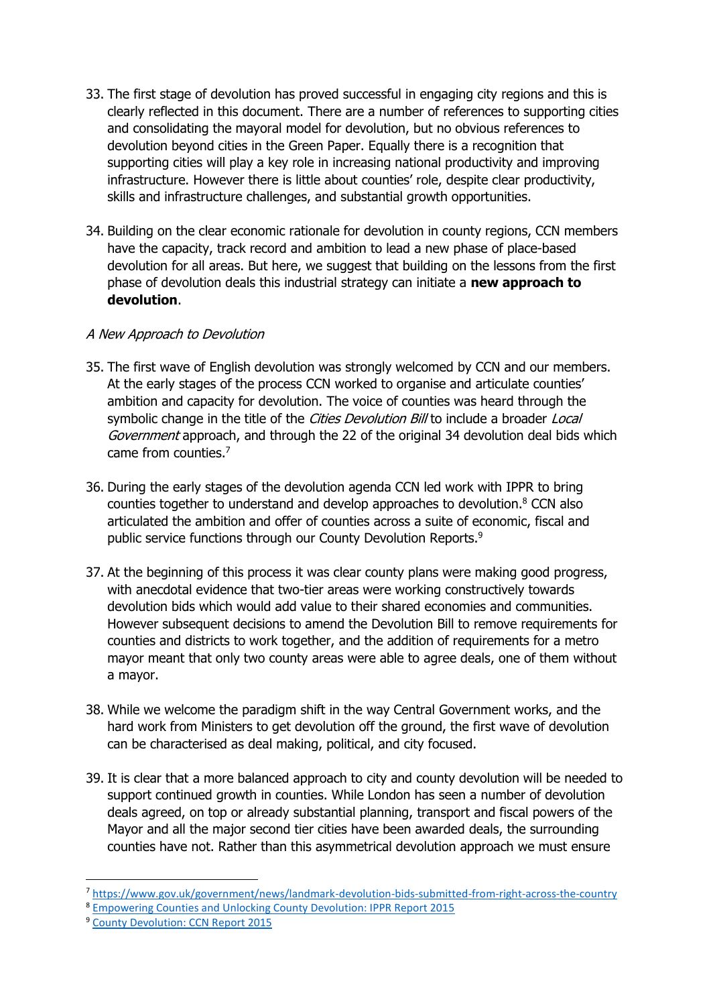- 33. The first stage of devolution has proved successful in engaging city regions and this is clearly reflected in this document. There are a number of references to supporting cities and consolidating the mayoral model for devolution, but no obvious references to devolution beyond cities in the Green Paper. Equally there is a recognition that supporting cities will play a key role in increasing national productivity and improving infrastructure. However there is little about counties' role, despite clear productivity, skills and infrastructure challenges, and substantial growth opportunities.
- 34. Building on the clear economic rationale for devolution in county regions, CCN members have the capacity, track record and ambition to lead a new phase of place-based devolution for all areas. But here, we suggest that building on the lessons from the first phase of devolution deals this industrial strategy can initiate a **new approach to devolution**.

#### A New Approach to Devolution

- 35. The first wave of English devolution was strongly welcomed by CCN and our members. At the early stages of the process CCN worked to organise and articulate counties' ambition and capacity for devolution. The voice of counties was heard through the symbolic change in the title of the Cities Devolution Bill to include a broader Local Government approach, and through the 22 of the original 34 devolution deal bids which came from counties.<sup>7</sup>
- 36. During the early stages of the devolution agenda CCN led work with IPPR to bring counties together to understand and develop approaches to devolution.<sup>8</sup> CCN also articulated the ambition and offer of counties across a suite of economic, fiscal and public service functions through our County Devolution Reports.<sup>9</sup>
- 37. At the beginning of this process it was clear county plans were making good progress, with anecdotal evidence that two-tier areas were working constructively towards devolution bids which would add value to their shared economies and communities. However subsequent decisions to amend the Devolution Bill to remove requirements for counties and districts to work together, and the addition of requirements for a metro mayor meant that only two county areas were able to agree deals, one of them without a mayor.
- 38. While we welcome the paradigm shift in the way Central Government works, and the hard work from Ministers to get devolution off the ground, the first wave of devolution can be characterised as deal making, political, and city focused.
- 39. It is clear that a more balanced approach to city and county devolution will be needed to support continued growth in counties. While London has seen a number of devolution deals agreed, on top or already substantial planning, transport and fiscal powers of the Mayor and all the major second tier cities have been awarded deals, the surrounding counties have not. Rather than this asymmetrical devolution approach we must ensure

 $\overline{\phantom{a}}$ 

<sup>7</sup> <https://www.gov.uk/government/news/landmark-devolution-bids-submitted-from-right-across-the-country>

<sup>8</sup> [Empowering Counties and Unlocking County Devolution: IPPR Report 2015](http://www.countycouncilsnetwork.org.uk/news/2015/nov/report-ippr-empowering-counties-unlocking-county-devolution-deals-ccn-response/)

<sup>9</sup> [County Devolution: CCN Report 2015](http://www.countycouncilsnetwork.org.uk/county-devolution)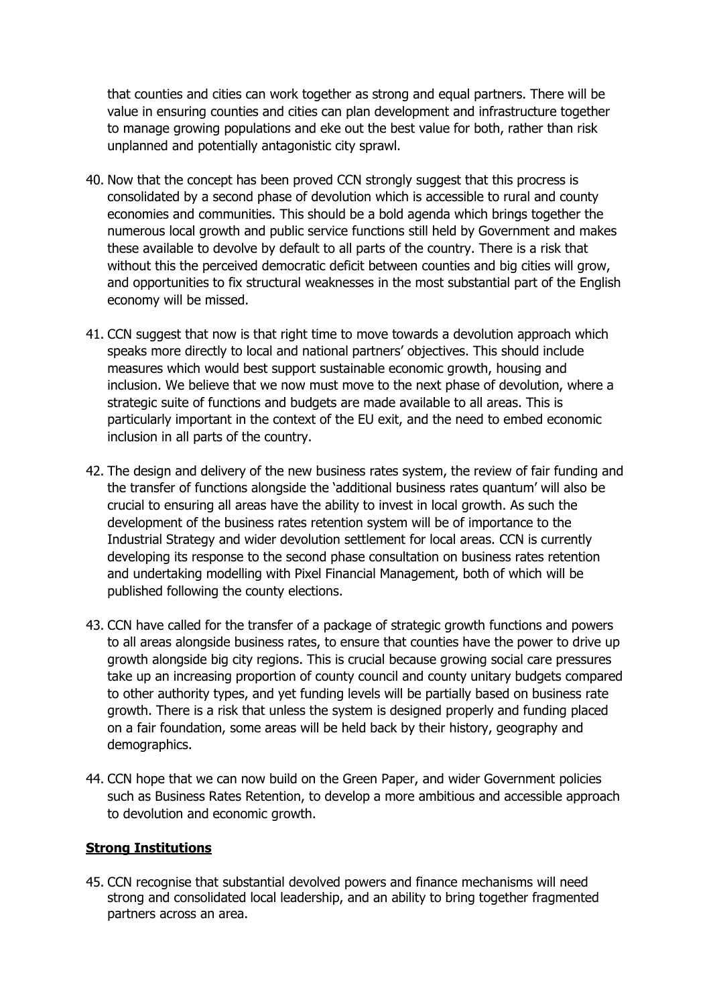that counties and cities can work together as strong and equal partners. There will be value in ensuring counties and cities can plan development and infrastructure together to manage growing populations and eke out the best value for both, rather than risk unplanned and potentially antagonistic city sprawl.

- 40. Now that the concept has been proved CCN strongly suggest that this procress is consolidated by a second phase of devolution which is accessible to rural and county economies and communities. This should be a bold agenda which brings together the numerous local growth and public service functions still held by Government and makes these available to devolve by default to all parts of the country. There is a risk that without this the perceived democratic deficit between counties and big cities will grow, and opportunities to fix structural weaknesses in the most substantial part of the English economy will be missed.
- 41. CCN suggest that now is that right time to move towards a devolution approach which speaks more directly to local and national partners' objectives. This should include measures which would best support sustainable economic growth, housing and inclusion. We believe that we now must move to the next phase of devolution, where a strategic suite of functions and budgets are made available to all areas. This is particularly important in the context of the EU exit, and the need to embed economic inclusion in all parts of the country.
- 42. The design and delivery of the new business rates system, the review of fair funding and the transfer of functions alongside the 'additional business rates quantum' will also be crucial to ensuring all areas have the ability to invest in local growth. As such the development of the business rates retention system will be of importance to the Industrial Strategy and wider devolution settlement for local areas. CCN is currently developing its response to the second phase consultation on business rates retention and undertaking modelling with Pixel Financial Management, both of which will be published following the county elections.
- 43. CCN have called for the transfer of a package of strategic growth functions and powers to all areas alongside business rates, to ensure that counties have the power to drive up growth alongside big city regions. This is crucial because growing social care pressures take up an increasing proportion of county council and county unitary budgets compared to other authority types, and yet funding levels will be partially based on business rate growth. There is a risk that unless the system is designed properly and funding placed on a fair foundation, some areas will be held back by their history, geography and demographics.
- 44. CCN hope that we can now build on the Green Paper, and wider Government policies such as Business Rates Retention, to develop a more ambitious and accessible approach to devolution and economic growth.

#### **Strong Institutions**

45. CCN recognise that substantial devolved powers and finance mechanisms will need strong and consolidated local leadership, and an ability to bring together fragmented partners across an area.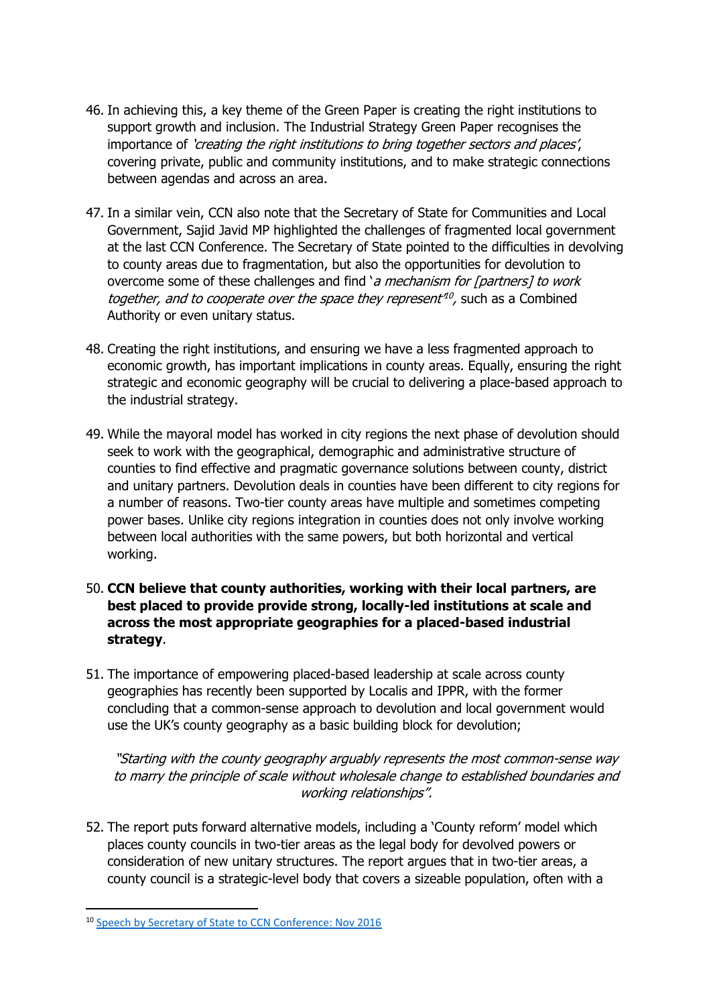- 46. In achieving this, a key theme of the Green Paper is creating the right institutions to support growth and inclusion. The Industrial Strategy Green Paper recognises the importance of 'creating the right institutions to bring together sectors and places', covering private, public and community institutions, and to make strategic connections between agendas and across an area.
- 47. In a similar vein, CCN also note that the Secretary of State for Communities and Local Government, Sajid Javid MP highlighted the challenges of fragmented local government at the last CCN Conference. The Secretary of State pointed to the difficulties in devolving to county areas due to fragmentation, but also the opportunities for devolution to overcome some of these challenges and find 'a mechanism for [partners] to work together, and to cooperate over the space they represent<sup>10</sup>, such as a Combined Authority or even unitary status.
- 48. Creating the right institutions, and ensuring we have a less fragmented approach to economic growth, has important implications in county areas. Equally, ensuring the right strategic and economic geography will be crucial to delivering a place-based approach to the industrial strategy.
- 49. While the mayoral model has worked in city regions the next phase of devolution should seek to work with the geographical, demographic and administrative structure of counties to find effective and pragmatic governance solutions between county, district and unitary partners. Devolution deals in counties have been different to city regions for a number of reasons. Two-tier county areas have multiple and sometimes competing power bases. Unlike city regions integration in counties does not only involve working between local authorities with the same powers, but both horizontal and vertical working.
- 50. **CCN believe that county authorities, working with their local partners, are best placed to provide provide strong, locally-led institutions at scale and across the most appropriate geographies for a placed-based industrial strategy**.
- 51. The importance of empowering placed-based leadership at scale across county geographies has recently been supported by Localis and IPPR, with the former concluding that a common-sense approach to devolution and local government would use the UK's county geography as a basic building block for devolution;

"Starting with the county geography arguably represents the most common-sense way to marry the principle of scale without wholesale change to established boundaries and working relationships".

52. The report puts forward alternative models, including a 'County reform' model which places county councils in two-tier areas as the legal body for devolved powers or consideration of new unitary structures. The report argues that in two-tier areas, a county council is a strategic-level body that covers a sizeable population, often with a

**<sup>.</sup>** <sup>10</sup> [Speech by Secretary of State to CCN Conference: Nov 2016](https://youtu.be/CcKWK07-XdI)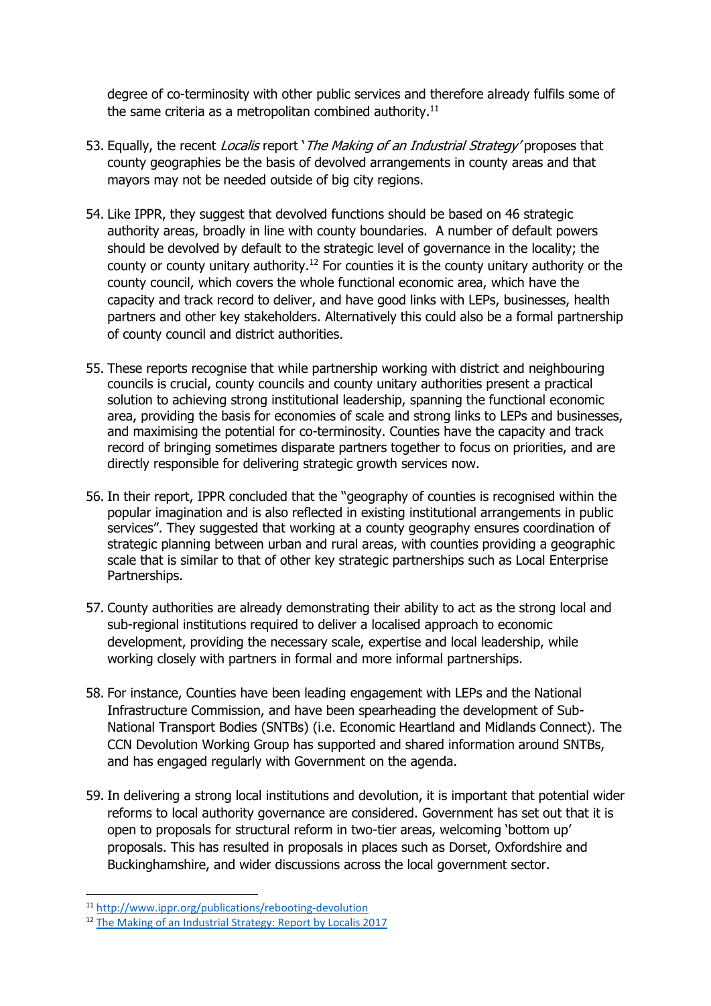degree of co-terminosity with other public services and therefore already fulfils some of the same criteria as a metropolitan combined authority.<sup>11</sup>

- 53. Equally, the recent *Localis* report '*The Making of an Industrial Strategy'* proposes that county geographies be the basis of devolved arrangements in county areas and that mayors may not be needed outside of big city regions.
- 54. Like IPPR, they suggest that devolved functions should be based on 46 strategic authority areas, broadly in line with county boundaries. A number of default powers should be devolved by default to the strategic level of governance in the locality; the county or county unitary authority.<sup>12</sup> For counties it is the county unitary authority or the county council, which covers the whole functional economic area, which have the capacity and track record to deliver, and have good links with LEPs, businesses, health partners and other key stakeholders. Alternatively this could also be a formal partnership of county council and district authorities.
- 55. These reports recognise that while partnership working with district and neighbouring councils is crucial, county councils and county unitary authorities present a practical solution to achieving strong institutional leadership, spanning the functional economic area, providing the basis for economies of scale and strong links to LEPs and businesses, and maximising the potential for co-terminosity. Counties have the capacity and track record of bringing sometimes disparate partners together to focus on priorities, and are directly responsible for delivering strategic growth services now.
- 56. In their report, IPPR concluded that the "geography of counties is recognised within the popular imagination and is also reflected in existing institutional arrangements in public services". They suggested that working at a county geography ensures coordination of strategic planning between urban and rural areas, with counties providing a geographic scale that is similar to that of other key strategic partnerships such as Local Enterprise Partnerships.
- 57. County authorities are already demonstrating their ability to act as the strong local and sub-regional institutions required to deliver a localised approach to economic development, providing the necessary scale, expertise and local leadership, while working closely with partners in formal and more informal partnerships.
- 58. For instance, Counties have been leading engagement with LEPs and the National Infrastructure Commission, and have been spearheading the development of Sub-National Transport Bodies (SNTBs) (i.e. Economic Heartland and Midlands Connect). The CCN Devolution Working Group has supported and shared information around SNTBs, and has engaged regularly with Government on the agenda.
- 59. In delivering a strong local institutions and devolution, it is important that potential wider reforms to local authority governance are considered. Government has set out that it is open to proposals for structural reform in two-tier areas, welcoming 'bottom up' proposals. This has resulted in proposals in places such as Dorset, Oxfordshire and Buckinghamshire, and wider discussions across the local government sector.

1

<sup>11</sup> <http://www.ippr.org/publications/rebooting-devolution>

<sup>&</sup>lt;sup>12</sup> [The Making of an Industrial Strategy: Report by Localis 2017](http://www.localis.org.uk/research/the-making-of-an-industrial-strategy/)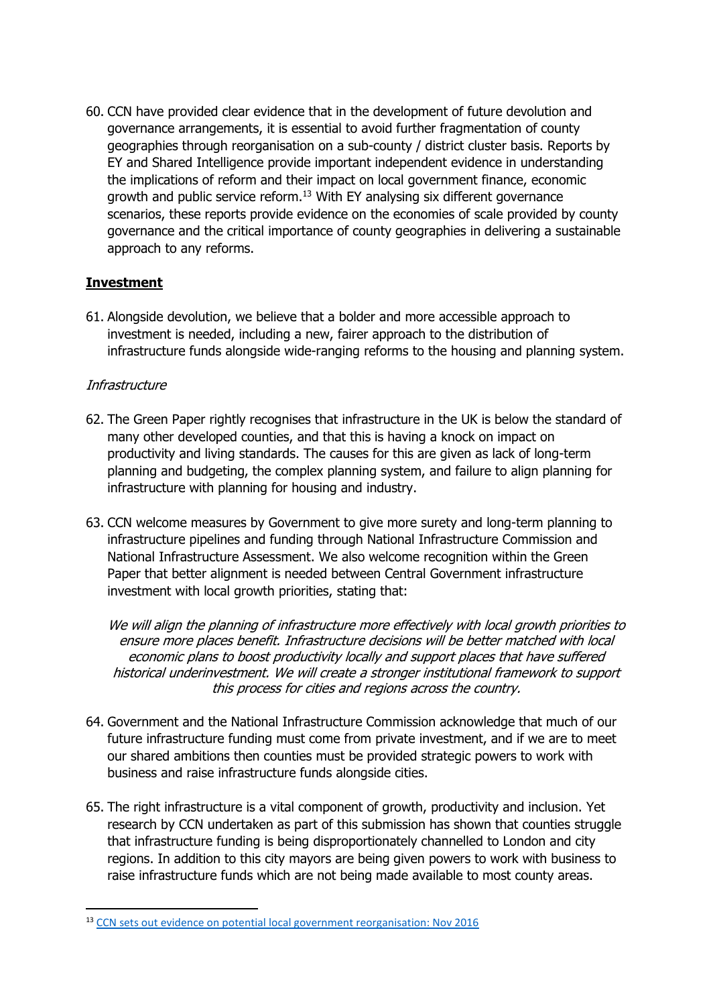60. CCN have provided clear evidence that in the development of future devolution and governance arrangements, it is essential to avoid further fragmentation of county geographies through reorganisation on a sub-county / district cluster basis. Reports by EY and Shared Intelligence provide important independent evidence in understanding the implications of reform and their impact on local government finance, economic growth and public service reform.<sup>13</sup> With EY analysing six different governance scenarios, these reports provide evidence on the economies of scale provided by county governance and the critical importance of county geographies in delivering a sustainable approach to any reforms.

### **Investment**

61. Alongside devolution, we believe that a bolder and more accessible approach to investment is needed, including a new, fairer approach to the distribution of infrastructure funds alongside wide-ranging reforms to the housing and planning system.

#### **Infrastructure**

- 62. The Green Paper rightly recognises that infrastructure in the UK is below the standard of many other developed counties, and that this is having a knock on impact on productivity and living standards. The causes for this are given as lack of long-term planning and budgeting, the complex planning system, and failure to align planning for infrastructure with planning for housing and industry.
- 63. CCN welcome measures by Government to give more surety and long-term planning to infrastructure pipelines and funding through National Infrastructure Commission and National Infrastructure Assessment. We also welcome recognition within the Green Paper that better alignment is needed between Central Government infrastructure investment with local growth priorities, stating that:

We will align the planning of infrastructure more effectively with local growth priorities to ensure more places benefit. Infrastructure decisions will be better matched with local economic plans to boost productivity locally and support places that have suffered historical underinvestment. We will create a stronger institutional framework to support this process for cities and regions across the country.

- 64. Government and the National Infrastructure Commission acknowledge that much of our future infrastructure funding must come from private investment, and if we are to meet our shared ambitions then counties must be provided strategic powers to work with business and raise infrastructure funds alongside cities.
- 65. The right infrastructure is a vital component of growth, productivity and inclusion. Yet research by CCN undertaken as part of this submission has shown that counties struggle that infrastructure funding is being disproportionately channelled to London and city regions. In addition to this city mayors are being given powers to work with business to raise infrastructure funds which are not being made available to most county areas.

**<sup>.</sup>** <sup>13</sup> [CCN sets out evidence on potential local government reorganisation: Nov 2016](http://www.countycouncilsnetwork.org.uk/news/2016/nov/ccn-sets-evidence-potential-local-government-reorganisation/)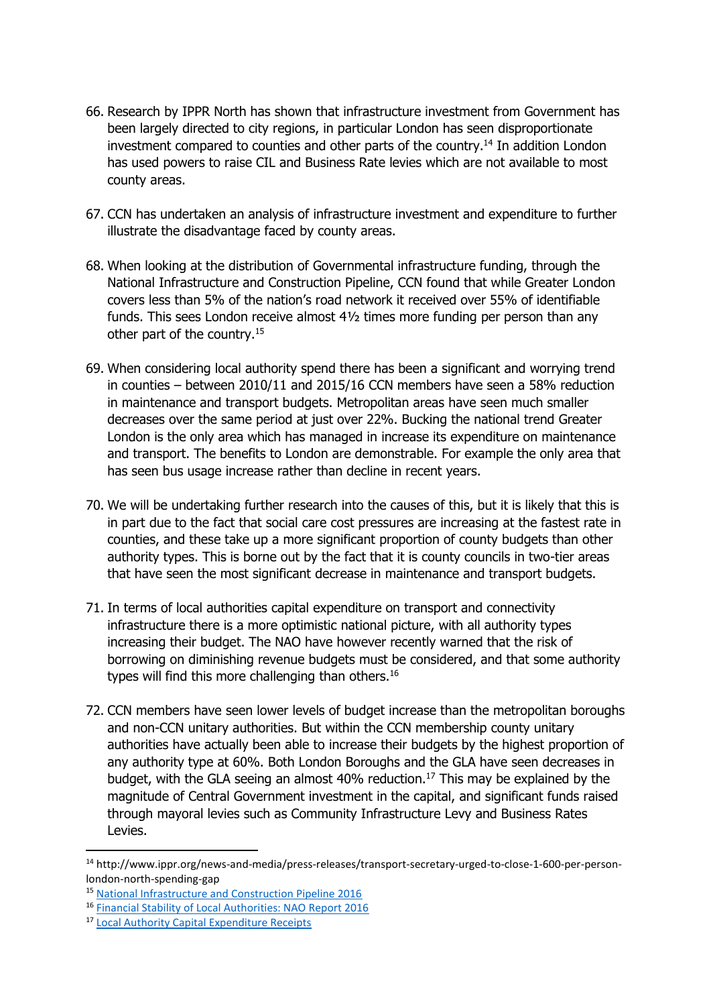- 66. Research by IPPR North has shown that infrastructure investment from Government has been largely directed to city regions, in particular London has seen disproportionate investment compared to counties and other parts of the country.<sup>14</sup> In addition London has used powers to raise CIL and Business Rate levies which are not available to most county areas.
- 67. CCN has undertaken an analysis of infrastructure investment and expenditure to further illustrate the disadvantage faced by county areas.
- 68. When looking at the distribution of Governmental infrastructure funding, through the National Infrastructure and Construction Pipeline, CCN found that while Greater London covers less than 5% of the nation's road network it received over 55% of identifiable funds. This sees London receive almost  $4\frac{1}{2}$  times more funding per person than any other part of the country.<sup>15</sup>
- 69. When considering local authority spend there has been a significant and worrying trend in counties – between 2010/11 and 2015/16 CCN members have seen a 58% reduction in maintenance and transport budgets. Metropolitan areas have seen much smaller decreases over the same period at just over 22%. Bucking the national trend Greater London is the only area which has managed in increase its expenditure on maintenance and transport. The benefits to London are demonstrable. For example the only area that has seen bus usage increase rather than decline in recent years.
- 70. We will be undertaking further research into the causes of this, but it is likely that this is in part due to the fact that social care cost pressures are increasing at the fastest rate in counties, and these take up a more significant proportion of county budgets than other authority types. This is borne out by the fact that it is county councils in two-tier areas that have seen the most significant decrease in maintenance and transport budgets.
- 71. In terms of local authorities capital expenditure on transport and connectivity infrastructure there is a more optimistic national picture, with all authority types increasing their budget. The NAO have however recently warned that the risk of borrowing on diminishing revenue budgets must be considered, and that some authority types will find this more challenging than others.<sup>16</sup>
- 72. CCN members have seen lower levels of budget increase than the metropolitan boroughs and non-CCN unitary authorities. But within the CCN membership county unitary authorities have actually been able to increase their budgets by the highest proportion of any authority type at 60%. Both London Boroughs and the GLA have seen decreases in budget, with the GLA seeing an almost 40% reduction.<sup>17</sup> This may be explained by the magnitude of Central Government investment in the capital, and significant funds raised through mayoral levies such as Community Infrastructure Levy and Business Rates Levies.

 $\overline{\phantom{a}}$ 

<sup>14</sup> http://www.ippr.org/news-and-media/press-releases/transport-secretary-urged-to-close-1-600-per-personlondon-north-spending-gap

<sup>15</sup> [National Infrastructure and Construction Pipeline 2016](https://www.gov.uk/government/publications/national-infrastructure-and-construction-pipeline-2016)

<sup>16</sup> [Financial Stability of Local Authorities: NAO Report 2016](https://www.nao.org.uk/report/financial-sustainability-of-local-authorities-capital-expenditure-and-resourcing/)

<sup>17</sup> [Local Authority Capital Expenditure Receipts](https://www.gov.uk/government/collections/local-authority-capital-expenditure-receipts-and-financing)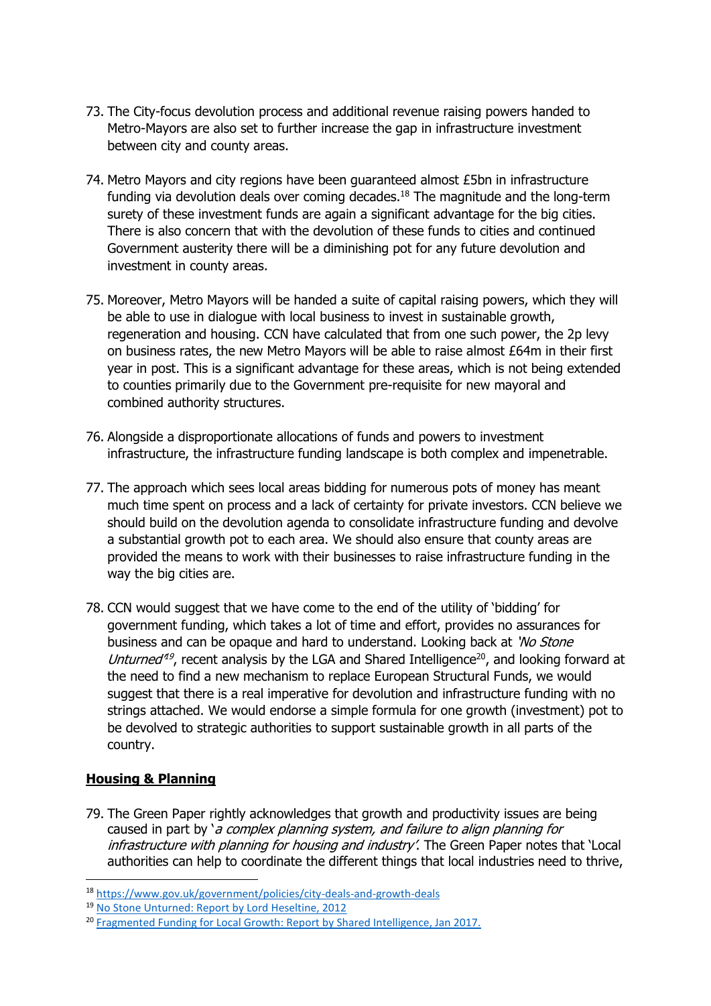- 73. The City-focus devolution process and additional revenue raising powers handed to Metro-Mayors are also set to further increase the gap in infrastructure investment between city and county areas.
- 74. Metro Mayors and city regions have been guaranteed almost £5bn in infrastructure funding via devolution deals over coming decades.<sup>18</sup> The magnitude and the long-term surety of these investment funds are again a significant advantage for the big cities. There is also concern that with the devolution of these funds to cities and continued Government austerity there will be a diminishing pot for any future devolution and investment in county areas.
- 75. Moreover, Metro Mayors will be handed a suite of capital raising powers, which they will be able to use in dialogue with local business to invest in sustainable growth, regeneration and housing. CCN have calculated that from one such power, the 2p levy on business rates, the new Metro Mayors will be able to raise almost £64m in their first year in post. This is a significant advantage for these areas, which is not being extended to counties primarily due to the Government pre-requisite for new mayoral and combined authority structures.
- 76. Alongside a disproportionate allocations of funds and powers to investment infrastructure, the infrastructure funding landscape is both complex and impenetrable.
- 77. The approach which sees local areas bidding for numerous pots of money has meant much time spent on process and a lack of certainty for private investors. CCN believe we should build on the devolution agenda to consolidate infrastructure funding and devolve a substantial growth pot to each area. We should also ensure that county areas are provided the means to work with their businesses to raise infrastructure funding in the way the big cities are.
- 78. CCN would suggest that we have come to the end of the utility of 'bidding' for government funding, which takes a lot of time and effort, provides no assurances for business and can be opaque and hard to understand. Looking back at 'No Stone' Unturned<sup>49</sup>, recent analysis by the LGA and Shared Intelligence<sup>20</sup>, and looking forward at the need to find a new mechanism to replace European Structural Funds, we would suggest that there is a real imperative for devolution and infrastructure funding with no strings attached. We would endorse a simple formula for one growth (investment) pot to be devolved to strategic authorities to support sustainable growth in all parts of the country.

#### **Housing & Planning**

 $\overline{\phantom{a}}$ 

79. The Green Paper rightly acknowledges that growth and productivity issues are being caused in part by 'a complex planning system, and failure to align planning for infrastructure with planning for housing and industry'. The Green Paper notes that 'Local authorities can help to coordinate the different things that local industries need to thrive,

<sup>18</sup> <https://www.gov.uk/government/policies/city-deals-and-growth-deals>

<sup>19</sup> [No Stone Unturned: Report by Lord Heseltine, 2012](https://www.gov.uk/government/publications/no-stone-unturned-in-pursuit-of-growth)

<sup>&</sup>lt;sup>20</sup> [Fragmented Funding for Local Growth: Report by Shared Intelligence, Jan 2017.](http://www.sharedintelligence.net/uncategorised/fragmented-funding-for-local-growth-201617/)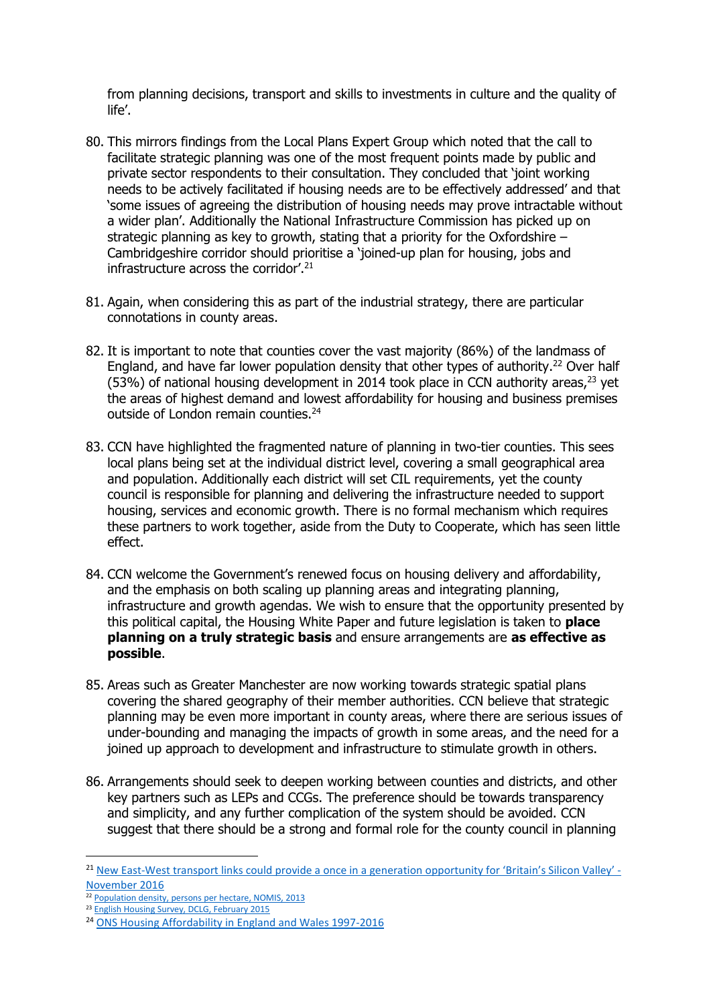from planning decisions, transport and skills to investments in culture and the quality of life'.

- 80. This mirrors findings from the Local Plans Expert Group which noted that the call to facilitate strategic planning was one of the most frequent points made by public and private sector respondents to their consultation. They concluded that 'joint working needs to be actively facilitated if housing needs are to be effectively addressed' and that 'some issues of agreeing the distribution of housing needs may prove intractable without a wider plan'. Additionally the National Infrastructure Commission has picked up on strategic planning as key to growth, stating that a priority for the Oxfordshire – Cambridgeshire corridor should prioritise a 'joined-up plan for housing, jobs and infrastructure across the corridor'.<sup>21</sup>
- 81. Again, when considering this as part of the industrial strategy, there are particular connotations in county areas.
- 82. It is important to note that counties cover the vast majority (86%) of the landmass of England, and have far lower population density that other types of authority.<sup>22</sup> Over half (53%) of national housing development in 2014 took place in CCN authority areas, $23$  yet the areas of highest demand and lowest affordability for housing and business premises outside of London remain counties.<sup>24</sup>
- 83. CCN have highlighted the fragmented nature of planning in two-tier counties. This sees local plans being set at the individual district level, covering a small geographical area and population. Additionally each district will set CIL requirements, yet the county council is responsible for planning and delivering the infrastructure needed to support housing, services and economic growth. There is no formal mechanism which requires these partners to work together, aside from the Duty to Cooperate, which has seen little effect.
- 84. CCN welcome the Government's renewed focus on housing delivery and affordability, and the emphasis on both scaling up planning areas and integrating planning, infrastructure and growth agendas. We wish to ensure that the opportunity presented by this political capital, the Housing White Paper and future legislation is taken to **place planning on a truly strategic basis** and ensure arrangements are **as effective as possible**.
- 85. Areas such as Greater Manchester are now working towards strategic spatial plans covering the shared geography of their member authorities. CCN believe that strategic planning may be even more important in county areas, where there are serious issues of under-bounding and managing the impacts of growth in some areas, and the need for a joined up approach to development and infrastructure to stimulate growth in others.
- 86. Arrangements should seek to deepen working between counties and districts, and other key partners such as LEPs and CCGs. The preference should be towards transparency and simplicity, and any further complication of the system should be avoided. CCN suggest that there should be a strong and formal role for the county council in planning

1

<sup>&</sup>lt;sup>21</sup> New East-[West transport links could provide a once in a generation opportunity for 'Britain's Silicon Valley'](https://www.gov.uk/government/news/new-east-west-transport-links-could-provide-a-once-in-a-generation-opportunity-for-britains-silicon-valley-armitt) -[November 2016](https://www.gov.uk/government/news/new-east-west-transport-links-could-provide-a-once-in-a-generation-opportunity-for-britains-silicon-valley-armitt)

<sup>&</sup>lt;sup>22</sup> [Population density, persons per hectare, NOMIS, 2013](https://www.nomisweb.co.uk/census/2011/qs102ew)

<sup>&</sup>lt;sup>23</sup> [English Housing Survey, DCLG, February 2015](https://www.gov.uk/government/statistics/english-housing-survey-2014-to-2015-headline-report)

<sup>24</sup> [ONS Housing Affordability in England and Wales 1997-2016](https://www.ons.gov.uk/peoplepopulationandcommunity/housing/bulletins/housingaffordabilityinenglandandwales/1997to2016)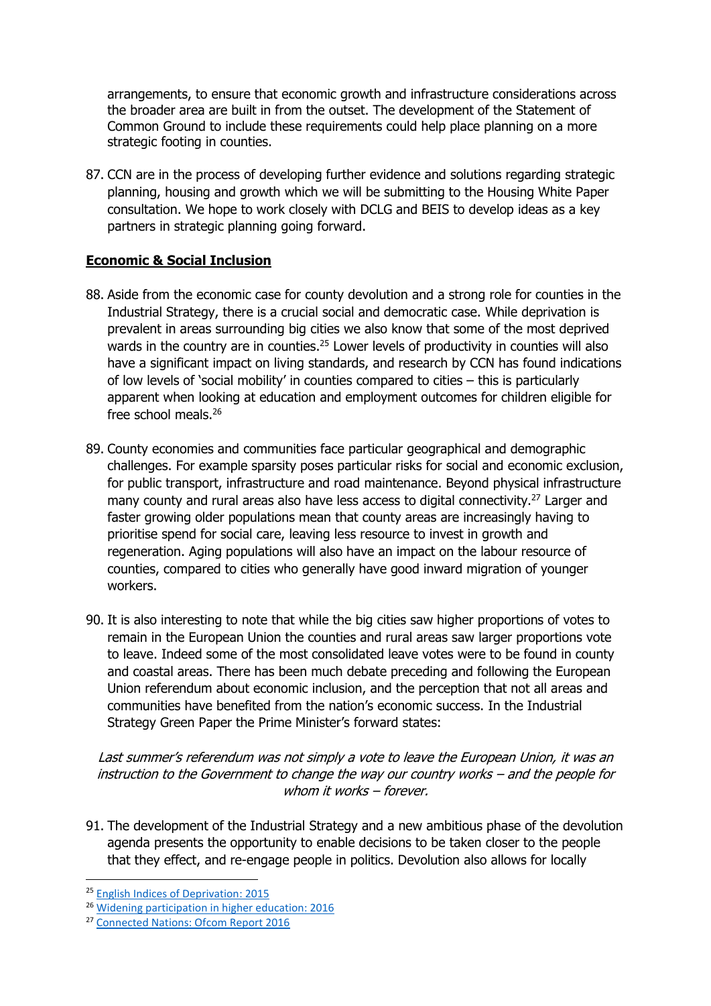arrangements, to ensure that economic growth and infrastructure considerations across the broader area are built in from the outset. The development of the Statement of Common Ground to include these requirements could help place planning on a more strategic footing in counties.

87. CCN are in the process of developing further evidence and solutions regarding strategic planning, housing and growth which we will be submitting to the Housing White Paper consultation. We hope to work closely with DCLG and BEIS to develop ideas as a key partners in strategic planning going forward.

#### **Economic & Social Inclusion**

- 88. Aside from the economic case for county devolution and a strong role for counties in the Industrial Strategy, there is a crucial social and democratic case. While deprivation is prevalent in areas surrounding big cities we also know that some of the most deprived wards in the country are in counties.<sup>25</sup> Lower levels of productivity in counties will also have a significant impact on living standards, and research by CCN has found indications of low levels of 'social mobility' in counties compared to cities – this is particularly apparent when looking at education and employment outcomes for children eligible for free school meals.<sup>26</sup>
- 89. County economies and communities face particular geographical and demographic challenges. For example sparsity poses particular risks for social and economic exclusion, for public transport, infrastructure and road maintenance. Beyond physical infrastructure many county and rural areas also have less access to digital connectivity.<sup>27</sup> Larger and faster growing older populations mean that county areas are increasingly having to prioritise spend for social care, leaving less resource to invest in growth and regeneration. Aging populations will also have an impact on the labour resource of counties, compared to cities who generally have good inward migration of younger workers.
- 90. It is also interesting to note that while the big cities saw higher proportions of votes to remain in the European Union the counties and rural areas saw larger proportions vote to leave. Indeed some of the most consolidated leave votes were to be found in county and coastal areas. There has been much debate preceding and following the European Union referendum about economic inclusion, and the perception that not all areas and communities have benefited from the nation's economic success. In the Industrial Strategy Green Paper the Prime Minister's forward states:

Last summer's referendum was not simply a vote to leave the European Union, it was an instruction to the Government to change the way our country works – and the people for whom it works – forever.

91. The development of the Industrial Strategy and a new ambitious phase of the devolution agenda presents the opportunity to enable decisions to be taken closer to the people that they effect, and re-engage people in politics. Devolution also allows for locally

 $\overline{\phantom{a}}$ 

<sup>&</sup>lt;sup>25</sup> [English Indices of Deprivation: 2015](https://www.gov.uk/government/statistics/english-indices-of-deprivation-2015)

<sup>26</sup> [Widening participation in higher education: 2016](https://www.gov.uk/government/statistics/widening-participation-in-higher-education-2016)

<sup>27</sup> [Connected Nations: Ofcom Report 2016](https://www.ofcom.org.uk/research-and-data/infrastructure-research/connected-nations-2016/downloads)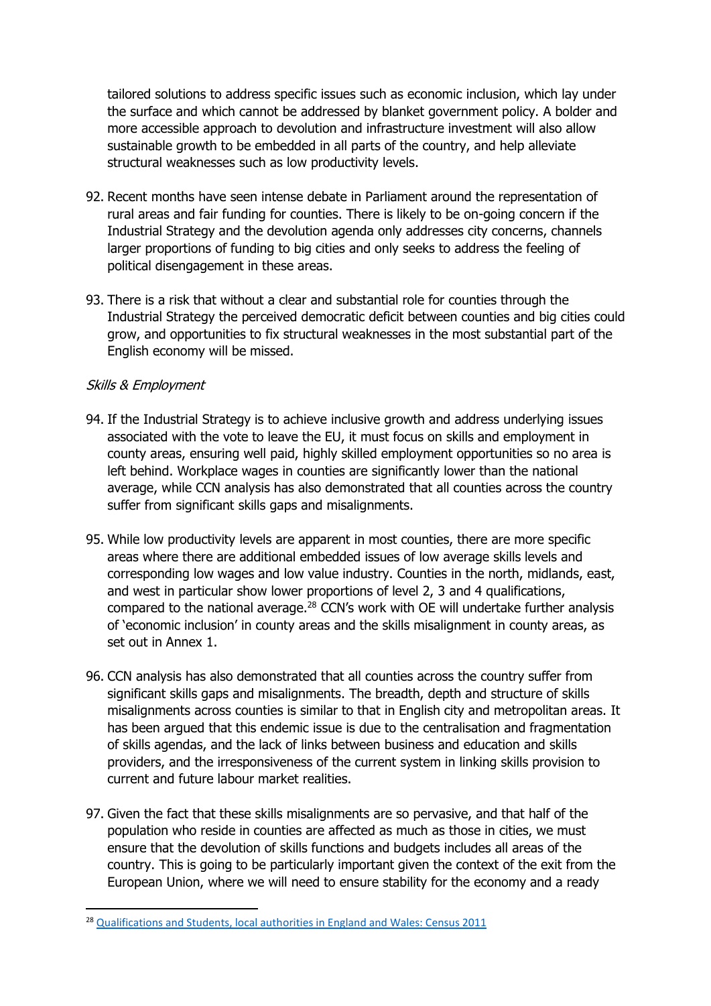tailored solutions to address specific issues such as economic inclusion, which lay under the surface and which cannot be addressed by blanket government policy. A bolder and more accessible approach to devolution and infrastructure investment will also allow sustainable growth to be embedded in all parts of the country, and help alleviate structural weaknesses such as low productivity levels.

- 92. Recent months have seen intense debate in Parliament around the representation of rural areas and fair funding for counties. There is likely to be on-going concern if the Industrial Strategy and the devolution agenda only addresses city concerns, channels larger proportions of funding to big cities and only seeks to address the feeling of political disengagement in these areas.
- 93. There is a risk that without a clear and substantial role for counties through the Industrial Strategy the perceived democratic deficit between counties and big cities could grow, and opportunities to fix structural weaknesses in the most substantial part of the English economy will be missed.

#### Skills & Employment

**.** 

- 94. If the Industrial Strategy is to achieve inclusive growth and address underlying issues associated with the vote to leave the EU, it must focus on skills and employment in county areas, ensuring well paid, highly skilled employment opportunities so no area is left behind. Workplace wages in counties are significantly lower than the national average, while CCN analysis has also demonstrated that all counties across the country suffer from significant skills gaps and misalignments.
- 95. While low productivity levels are apparent in most counties, there are more specific areas where there are additional embedded issues of low average skills levels and corresponding low wages and low value industry. Counties in the north, midlands, east, and west in particular show lower proportions of level 2, 3 and 4 qualifications, compared to the national average.<sup>28</sup> CCN's work with OE will undertake further analysis of 'economic inclusion' in county areas and the skills misalignment in county areas, as set out in Annex 1.
- 96. CCN analysis has also demonstrated that all counties across the country suffer from significant skills gaps and misalignments. The breadth, depth and structure of skills misalignments across counties is similar to that in English city and metropolitan areas. It has been argued that this endemic issue is due to the centralisation and fragmentation of skills agendas, and the lack of links between business and education and skills providers, and the irresponsiveness of the current system in linking skills provision to current and future labour market realities.
- 97. Given the fact that these skills misalignments are so pervasive, and that half of the population who reside in counties are affected as much as those in cities, we must ensure that the devolution of skills functions and budgets includes all areas of the country. This is going to be particularly important given the context of the exit from the European Union, where we will need to ensure stability for the economy and a ready

<sup>&</sup>lt;sup>28</sup> [Qualifications and Students, local authorities in England and Wales: Census 2011](https://www.google.co.uk/url?sa=t&rct=j&q=&esrc=s&source=web&cd=1&ved=0ahUKEwjW8cTSr7DTAhViIMAKHc8bC_UQFggkMAA&url=https%3A%2F%2Fwww.ons.gov.uk%2Ffile%3Furi%3D%2Fpeoplepopulationandcommunity%2Fpopulationandmigration%2Fpopulationestimates%2Fdatasets%2F2011censuskeystatisticsforlocalauthoritiesinenglandandwales%2Fr21ewrttableks501ewladv1_tcm77-290734.xls&usg=AFQjCNHHdSJfNHulYGTX4ggZOV5G9iTdvQ&cad=rja)